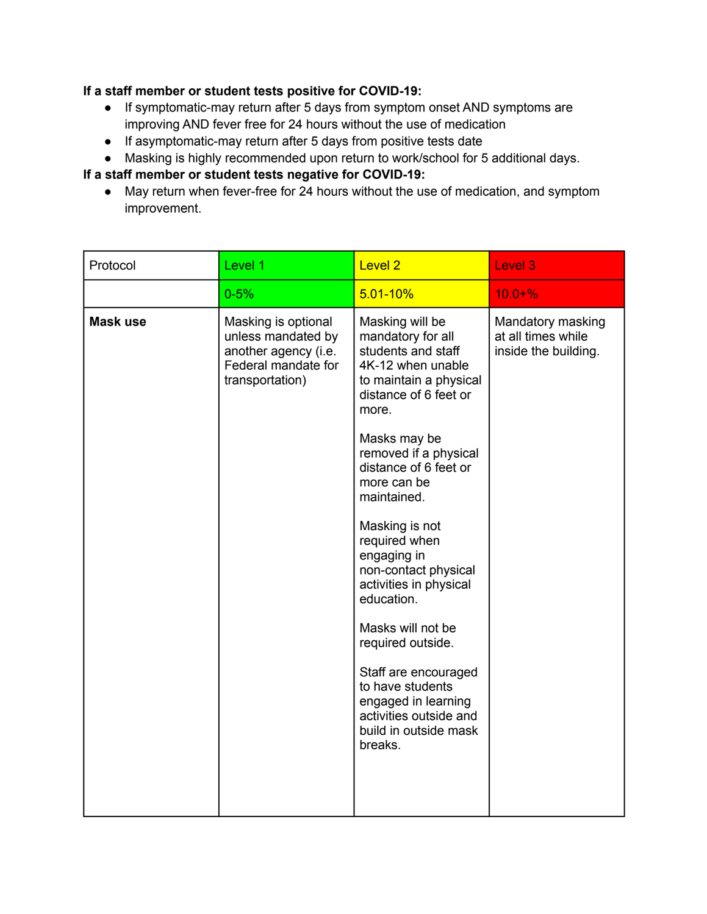## **If a staff member or student tests positive for COVID-19:**

- If symptomatic-may return after 5 days from symptom onset AND symptoms are improving AND fever free for 24 hours without the use of medication
- If asymptomatic-may return after 5 days from positive tests date
- Masking is highly recommended upon return to work/school for 5 additional days.

## **If a staff member or student tests negative for COVID-19:**

● May return when fever-free for 24 hours without the use of medication, and symptom improvement.

| Protocol        | Level 1                                                                                                     | <b>Level 2</b>                                                                                                                                                                                                                                                                                                                                                                                                                                                                                                                           | Level 3                                                         |
|-----------------|-------------------------------------------------------------------------------------------------------------|------------------------------------------------------------------------------------------------------------------------------------------------------------------------------------------------------------------------------------------------------------------------------------------------------------------------------------------------------------------------------------------------------------------------------------------------------------------------------------------------------------------------------------------|-----------------------------------------------------------------|
|                 | $0 - 5%$                                                                                                    | $5.01 - 10%$                                                                                                                                                                                                                                                                                                                                                                                                                                                                                                                             | $10.0 + \%$                                                     |
| <b>Mask use</b> | Masking is optional<br>unless mandated by<br>another agency (i.e.<br>Federal mandate for<br>transportation) | Masking will be<br>mandatory for all<br>students and staff<br>4K-12 when unable<br>to maintain a physical<br>distance of 6 feet or<br>more.<br>Masks may be<br>removed if a physical<br>distance of 6 feet or<br>more can be<br>maintained.<br>Masking is not<br>required when<br>engaging in<br>non-contact physical<br>activities in physical<br>education.<br>Masks will not be<br>required outside.<br>Staff are encouraged<br>to have students<br>engaged in learning<br>activities outside and<br>build in outside mask<br>breaks. | Mandatory masking<br>at all times while<br>inside the building. |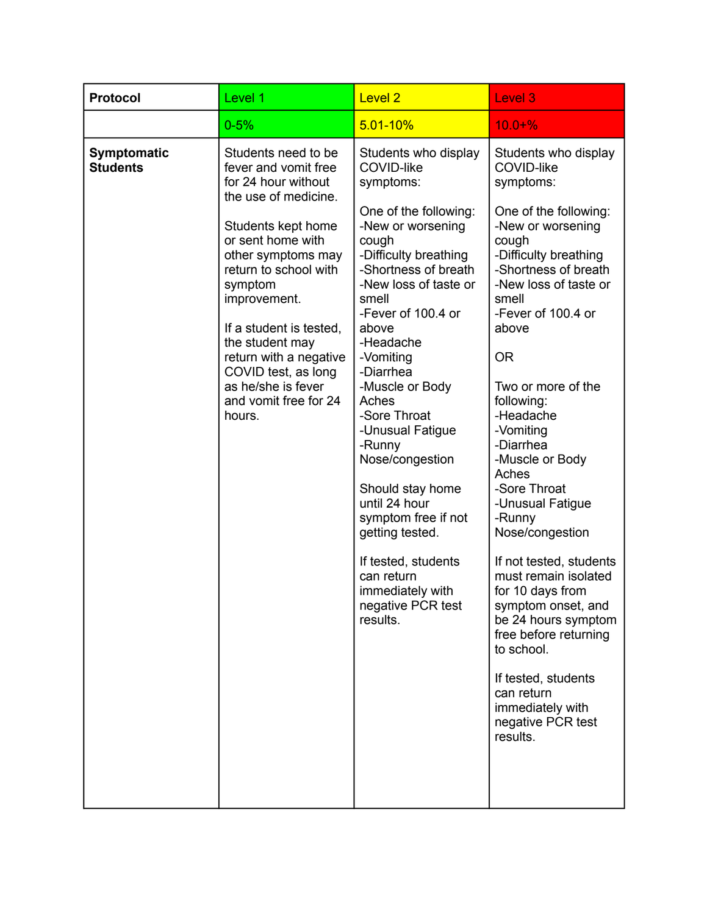| Protocol                              | Level 1                                                                                                                                                                                                                                                                                                                                                                 | <b>Level 2</b>                                                                                                                                                                                                                                                                                                                                                                                                                                                                                                                               | Level <sub>3</sub>                                                                                                                                                                                                                                                                                                                                                                                                                                                                                                                                                                                                                                                        |
|---------------------------------------|-------------------------------------------------------------------------------------------------------------------------------------------------------------------------------------------------------------------------------------------------------------------------------------------------------------------------------------------------------------------------|----------------------------------------------------------------------------------------------------------------------------------------------------------------------------------------------------------------------------------------------------------------------------------------------------------------------------------------------------------------------------------------------------------------------------------------------------------------------------------------------------------------------------------------------|---------------------------------------------------------------------------------------------------------------------------------------------------------------------------------------------------------------------------------------------------------------------------------------------------------------------------------------------------------------------------------------------------------------------------------------------------------------------------------------------------------------------------------------------------------------------------------------------------------------------------------------------------------------------------|
|                                       | $0 - 5%$                                                                                                                                                                                                                                                                                                                                                                | $5.01 - 10%$                                                                                                                                                                                                                                                                                                                                                                                                                                                                                                                                 | $10.0 + \%$                                                                                                                                                                                                                                                                                                                                                                                                                                                                                                                                                                                                                                                               |
| <b>Symptomatic</b><br><b>Students</b> | Students need to be<br>fever and vomit free<br>for 24 hour without<br>the use of medicine.<br>Students kept home<br>or sent home with<br>other symptoms may<br>return to school with<br>symptom<br>improvement.<br>If a student is tested,<br>the student may<br>return with a negative<br>COVID test, as long<br>as he/she is fever<br>and vomit free for 24<br>hours. | Students who display<br><b>COVID-like</b><br>symptoms:<br>One of the following:<br>-New or worsening<br>cough<br>-Difficulty breathing<br>-Shortness of breath<br>-New loss of taste or<br>smell<br>-Fever of 100.4 or<br>above<br>-Headache<br>-Vomiting<br>-Diarrhea<br>-Muscle or Body<br>Aches<br>-Sore Throat<br>-Unusual Fatigue<br>-Runny<br>Nose/congestion<br>Should stay home<br>until 24 hour<br>symptom free if not<br>getting tested.<br>If tested, students<br>can return<br>immediately with<br>negative PCR test<br>results. | Students who display<br><b>COVID-like</b><br>symptoms:<br>One of the following:<br>-New or worsening<br>cough<br>-Difficulty breathing<br>-Shortness of breath<br>-New loss of taste or<br>smell<br>-Fever of 100.4 or<br>above<br><b>OR</b><br>Two or more of the<br>following:<br>-Headache<br>-Vomiting<br>-Diarrhea<br>-Muscle or Body<br>Aches<br>-Sore Throat<br>-Unusual Fatigue<br>-Runny<br>Nose/congestion<br>If not tested, students<br>must remain isolated<br>for 10 days from<br>symptom onset, and<br>be 24 hours symptom<br>free before returning<br>to school.<br>If tested, students<br>can return<br>immediately with<br>negative PCR test<br>results. |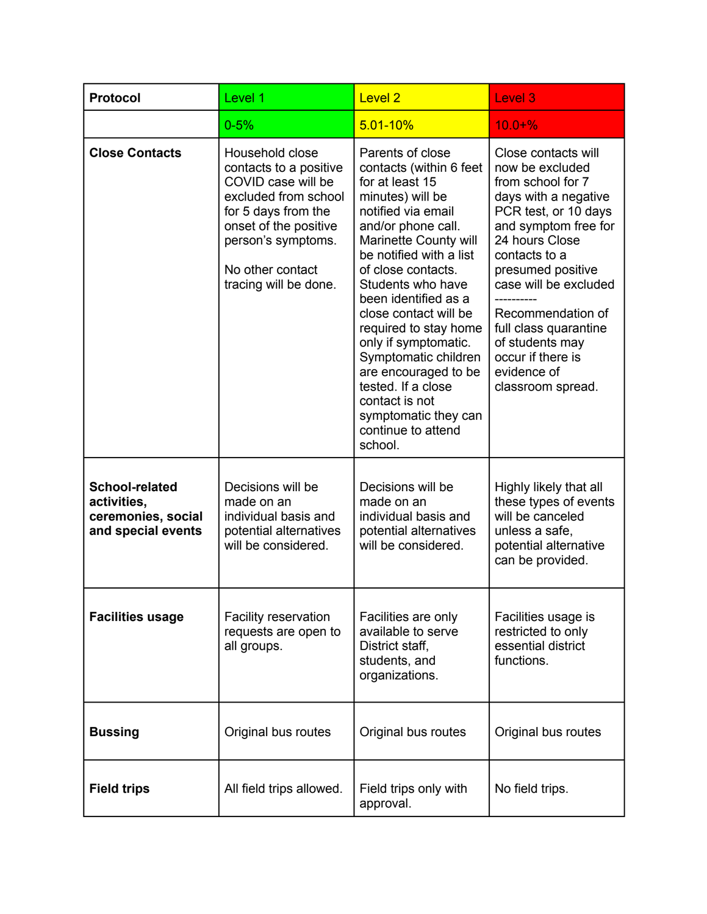| <b>Protocol</b>                                                           | Level 1                                                                                                                                                                                                    | Level <sub>2</sub>                                                                                                                                                                                                                                                                                                                                                                                                                                                               | Level 3                                                                                                                                                                                                                                                                                                                                        |
|---------------------------------------------------------------------------|------------------------------------------------------------------------------------------------------------------------------------------------------------------------------------------------------------|----------------------------------------------------------------------------------------------------------------------------------------------------------------------------------------------------------------------------------------------------------------------------------------------------------------------------------------------------------------------------------------------------------------------------------------------------------------------------------|------------------------------------------------------------------------------------------------------------------------------------------------------------------------------------------------------------------------------------------------------------------------------------------------------------------------------------------------|
|                                                                           | $0 - 5%$                                                                                                                                                                                                   | $5.01 - 10%$                                                                                                                                                                                                                                                                                                                                                                                                                                                                     | $10.0 + \%$                                                                                                                                                                                                                                                                                                                                    |
| <b>Close Contacts</b>                                                     | Household close<br>contacts to a positive<br>COVID case will be<br>excluded from school<br>for 5 days from the<br>onset of the positive<br>person's symptoms.<br>No other contact<br>tracing will be done. | Parents of close<br>contacts (within 6 feet<br>for at least 15<br>minutes) will be<br>notified via email<br>and/or phone call.<br>Marinette County will<br>be notified with a list<br>of close contacts.<br>Students who have<br>been identified as a<br>close contact will be<br>required to stay home<br>only if symptomatic.<br>Symptomatic children<br>are encouraged to be<br>tested. If a close<br>contact is not<br>symptomatic they can<br>continue to attend<br>school. | Close contacts will<br>now be excluded<br>from school for 7<br>days with a negative<br>PCR test, or 10 days<br>and symptom free for<br>24 hours Close<br>contacts to a<br>presumed positive<br>case will be excluded<br>Recommendation of<br>full class quarantine<br>of students may<br>occur if there is<br>evidence of<br>classroom spread. |
| School-related<br>activities,<br>ceremonies, social<br>and special events | Decisions will be<br>made on an<br>individual basis and<br>potential alternatives<br>will be considered.                                                                                                   | Decisions will be<br>made on an<br>individual basis and<br>potential alternatives<br>will be considered.                                                                                                                                                                                                                                                                                                                                                                         | Highly likely that all<br>these types of events<br>will be canceled<br>unless a safe,<br>potential alternative<br>can be provided.                                                                                                                                                                                                             |
| <b>Facilities usage</b>                                                   | Facility reservation<br>requests are open to<br>all groups.                                                                                                                                                | Facilities are only<br>available to serve<br>District staff,<br>students, and<br>organizations.                                                                                                                                                                                                                                                                                                                                                                                  | Facilities usage is<br>restricted to only<br>essential district<br>functions.                                                                                                                                                                                                                                                                  |
| <b>Bussing</b>                                                            | Original bus routes                                                                                                                                                                                        | Original bus routes                                                                                                                                                                                                                                                                                                                                                                                                                                                              | Original bus routes                                                                                                                                                                                                                                                                                                                            |
| <b>Field trips</b>                                                        | All field trips allowed.                                                                                                                                                                                   | Field trips only with<br>approval.                                                                                                                                                                                                                                                                                                                                                                                                                                               | No field trips.                                                                                                                                                                                                                                                                                                                                |